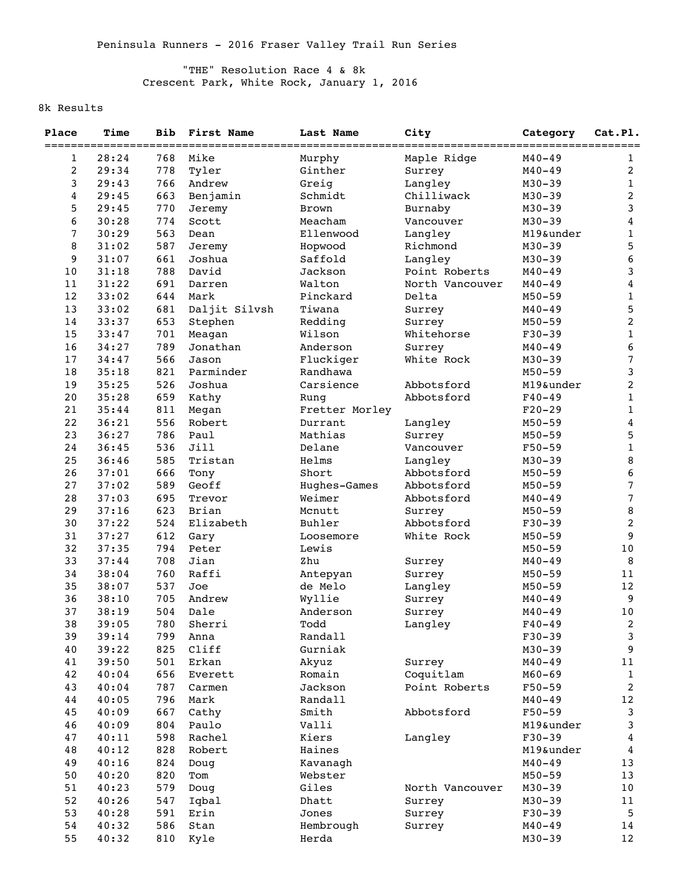## "THE" Resolution Race 4 & 8k Crescent Park, White Rock, January 1, 2016

## 8k Results

| Place                      | Time           | <b>Bib</b> | First Name           | Last Name              | City                 | Category   | Cat.Pl.                         |
|----------------------------|----------------|------------|----------------------|------------------------|----------------------|------------|---------------------------------|
| ==========<br>$\mathbf{1}$ | _____<br>28:24 | 768        | ------------<br>Mike | ------------<br>Murphy | Maple Ridge          | $M40 - 49$ | ---<br>--------<br>$\mathbf{1}$ |
| $\boldsymbol{2}$           | 29:34          | 778        | Tyler                | Ginther                | Surrey               | $M40 - 49$ | 2                               |
| $\mathbf{3}$               | 29:43          | 766        | Andrew               | Greig                  | Langley              | $M30 - 39$ | $\mathbf{1}$                    |
| $\overline{\bf 4}$         | 29:45          | 663        | Benjamin             | Schmidt                | Chilliwack           | $M30 - 39$ | $\overline{2}$                  |
| 5                          | 29:45          | 770        |                      | <b>Brown</b>           |                      | $M30 - 39$ | 3                               |
| 6                          | 30:28          | 774        | Jeremy<br>Scott      | Meacham                | Burnaby<br>Vancouver | $M30 - 39$ | $\overline{\bf 4}$              |
|                            |                |            |                      |                        |                      |            | $1\,$                           |
| $\overline{7}$             | 30:29          | 563        | Dean                 | Ellenwood              | Langley              | M19&under  |                                 |
| 8                          | 31:02          | 587        | Jeremy               | Hopwood                | Richmond             | $M30 - 39$ | 5                               |
| 9                          | 31:07          | 661        | Joshua<br>David      | Saffold                | Langley              | $M30 - 39$ | 6                               |
| 10                         | 31:18          | 788        |                      | Jackson                | Point Roberts        | $M40 - 49$ | 3                               |
| 11                         | 31:22          | 691        | Darren               | Walton                 | North Vancouver      | $M40 - 49$ | 4                               |
| $12$                       | 33:02          | 644        | Mark                 | Pinckard               | Delta                | $M50 - 59$ | $1\,$                           |
| 13                         | 33:02          | 681        | Daljit Silvsh        | Tiwana                 | Surrey               | $M40 - 49$ | 5                               |
| 14                         | 33:37          | 653        | Stephen              | Redding                | Surrey               | $M50 - 59$ | $\overline{c}$                  |
| 15                         | 33:47          | 701        | Meagan               | Wilson                 | Whitehorse           | $F30-39$   | $\mathbf{1}$                    |
| 16                         | 34:27          | 789        | Jonathan             | Anderson               | Surrey               | $M40 - 49$ | 6                               |
| 17                         | 34:47          | 566        | Jason                | Fluckiger              | White Rock           | $M30 - 39$ | $\overline{7}$                  |
| 18                         | 35:18          | 821        | Parminder            | Randhawa               |                      | $M50 - 59$ | 3                               |
| 19                         | 35:25          | 526        | Joshua               | Carsience              | Abbotsford           | M19&under  | $\overline{a}$                  |
| 20                         | 35:28          | 659        | Kathy                | Rung                   | Abbotsford           | $F40 - 49$ | $\mathbf 1$                     |
| 21                         | 35:44          | 811        | Megan                | Fretter Morley         |                      | $F20-29$   | $\mathbf 1$                     |
| 22                         | 36:21          | 556        | Robert               | Durrant                | Langley              | $M50 - 59$ | $\overline{\mathbf{4}}$         |
| 23                         | 36:27          | 786        | Paul                 | Mathias                | Surrey               | $M50 - 59$ | 5                               |
| 24                         | 36:45          | 536        | Jill                 | Delane                 | Vancouver            | $F50 - 59$ | $\mathbf 1$                     |
| 25                         | 36:46          | 585        | Tristan              | Helms                  | Langley              | $M30 - 39$ | $\, 8$                          |
| 26                         | 37:01          | 666        | Tony                 | Short                  | Abbotsford           | $M50 - 59$ | 6                               |
| 27                         | 37:02          | 589        | Geoff                | Hughes-Games           | Abbotsford           | $M50 - 59$ | $\overline{7}$                  |
| 28                         | 37:03          | 695        | Trevor               | Weimer                 | Abbotsford           | $M40 - 49$ | $\overline{7}$                  |
| 29                         | 37:16          | 623        | Brian                | Mcnutt                 | Surrey               | $M50 - 59$ | $\,8\,$                         |
| 30                         | 37:22          | 524        | Elizabeth            | Buhler                 | Abbotsford           | $F30-39$   | $\overline{2}$                  |
| 31                         | 37:27          | 612        | Gary                 | Loosemore              | White Rock           | $M50 - 59$ | 9                               |
| 32                         | 37:35          | 794        | Peter                | Lewis                  |                      | $M50 - 59$ | 10                              |
| 33                         | 37:44          | 708        | Jian                 | Zhu                    | Surrey               | $M40 - 49$ | 8                               |
| 34                         | 38:04          | 760        | Raffi                | Antepyan               | Surrey               | $M50 - 59$ | 11                              |
| 35                         | 38:07          | 537        | Joe                  | de Melo                | Langley              | $M50 - 59$ | 12                              |
| 36                         | 38:10          | 705        | Andrew               | Wyllie                 | Surrey               | $M40 - 49$ | $\overline{9}$                  |
| 37                         | 38:19          | 504        | Dale                 | Anderson               | Surrey               | $M40 - 49$ | $10$                            |
| 38                         | 39:05          | 780        | Sherri               | Todd                   | Langley              | $F40 - 49$ | 2                               |
| 39                         | 39:14          | 799        | Anna                 | Randall                |                      | $F30-39$   | $\mathsf 3$                     |
| 40                         | 39:22          | 825        | Cliff                | Gurniak                |                      | $M30 - 39$ | 9                               |
| 41                         | 39:50          | 501        | Erkan                | Akyuz                  | Surrey               | $M40 - 49$ | 11                              |
| 42                         | 40:04          | 656        | Everett              | Romain                 | Coquitlam            | $M60 - 69$ | $\mathbf 1$                     |
| 43                         | 40:04          | 787        | Carmen               | Jackson                | Point Roberts        | $F50 - 59$ | $\overline{a}$                  |
| 44                         | 40:05          | 796        | Mark                 | Randall                |                      | $M40 - 49$ | 12                              |
| 45                         | 40:09          | 667        | Cathy                | Smith                  | Abbotsford           | $F50 - 59$ | $\mathsf{3}$                    |
| 46                         | 40:09          | 804        | Paulo                | Valli                  |                      | M19&under  | 3                               |
| 47                         | 40:11          | 598        | Rachel               | Kiers                  | Langley              | $F30-39$   | 4                               |
| 48                         | 40:12          | 828        | Robert               | Haines                 |                      | M19&under  | $\bf 4$                         |
| 49                         | 40:16          | 824        | Doug                 | Kavanagh               |                      | $M40 - 49$ | 13                              |
| 50                         | 40:20          | 820        | Tom                  | Webster                |                      | $M50 - 59$ | 13                              |
| 51                         | 40:23          | 579        | Doug                 | Giles                  | North Vancouver      | $M30 - 39$ | 10                              |
| 52                         | 40:26          | 547        | Iqbal                | Dhatt                  | Surrey               | $M30 - 39$ | 11                              |
| 53                         | 40:28          | 591        | Erin                 | Jones                  | Surrey               | $F30-39$   | 5                               |
| 54                         | 40:32          | 586        | Stan                 | Hembrough              | Surrey               | $M40 - 49$ | 14                              |
| 55                         | 40:32          | 810        | Kyle                 | Herda                  |                      | $M30 - 39$ | 12                              |
|                            |                |            |                      |                        |                      |            |                                 |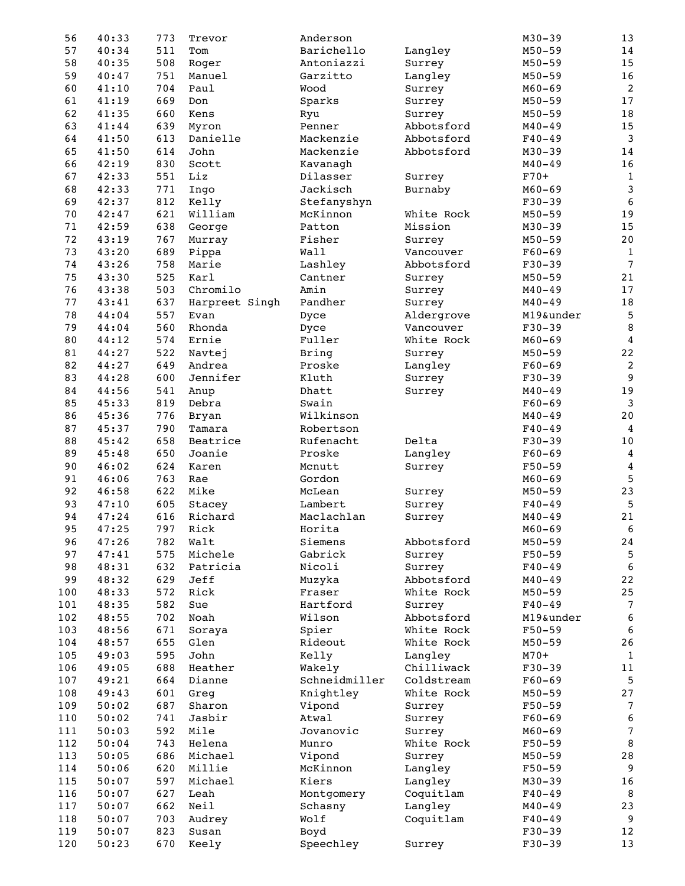| 56  | 40:33 | 773 | Trevor                 | Anderson      |            | $M30 - 39$ | 13               |
|-----|-------|-----|------------------------|---------------|------------|------------|------------------|
| 57  | 40:34 | 511 | Tom                    | Barichello    | Langley    | $M50 - 59$ | 14               |
| 58  | 40:35 | 508 | Roger                  | Antoniazzi    | Surrey     | $M50 - 59$ | 15               |
| 59  | 40:47 | 751 | Manuel                 | Garzitto      | Langley    | $M50 - 59$ | $16$             |
| 60  | 41:10 | 704 | Paul                   | Wood          | Surrey     | $M60 - 69$ | $\overline{c}$   |
| 61  | 41:19 | 669 | Don                    | Sparks        | Surrey     | $M50 - 59$ | $17$             |
| 62  | 41:35 | 660 | Kens                   | Ryu           | Surrey     | $M50 - 59$ | $1\,8$           |
| 63  | 41:44 | 639 | Myron                  | Penner        | Abbotsford | $M40 - 49$ | 15               |
| 64  | 41:50 | 613 | Danielle               | Mackenzie     | Abbotsford | $F40 - 49$ | $\mathbf{3}$     |
| 65  | 41:50 | 614 | John                   | Mackenzie     | Abbotsford | $M30 - 39$ | $1\,4$           |
| 66  | 42:19 | 830 | Scott                  | Kavanagh      |            | $M40 - 49$ | $16$             |
| 67  | 42:33 | 551 | Liz                    | Dilasser      | Surrey     | $F70+$     | $\mathbf{1}$     |
| 68  | 42:33 | 771 | Ingo                   | Jackisch      | Burnaby    | $M60 - 69$ | 3                |
| 69  | 42:37 | 812 | Kelly                  | Stefanyshyn   |            | $F30-39$   | $\sqrt{6}$       |
| 70  | 42:47 | 621 | William                | McKinnon      | White Rock | $M50 - 59$ | 19               |
| 71  | 42:59 | 638 | George                 | Patton        | Mission    | $M30 - 39$ | 15               |
| 72  | 43:19 | 767 | Murray                 | Fisher        | Surrey     | $M50 - 59$ | $20\,$           |
| 73  | 43:20 | 689 | Pippa                  | Wall          | Vancouver  | $F60 - 69$ | $\mathbf{1}$     |
| 74  | 43:26 | 758 | Marie                  | Lashley       | Abbotsford | $F30-39$   | $\overline{7}$   |
| 75  | 43:30 | 525 | Karl                   | Cantner       | Surrey     | $M50 - 59$ | 21               |
| 76  | 43:38 | 503 | Chromilo               | Amin          | Surrey     | $M40 - 49$ | $17$             |
| 77  | 43:41 | 637 |                        | Pandher       |            | $M40 - 49$ |                  |
| 78  |       |     | Harpreet Singh<br>Evan |               | Surrey     |            | $1\,8$           |
|     | 44:04 | 557 |                        | Dyce          | Aldergrove | M19&under  | 5                |
| 79  | 44:04 | 560 | Rhonda                 | Dyce          | Vancouver  | $F30-39$   | $\, 8$           |
| 80  | 44:12 | 574 | Ernie                  | Fuller        | White Rock | $M60 - 69$ | $\bf 4$          |
| 81  | 44:27 | 522 | Navtej                 | <b>Bring</b>  | Surrey     | $M50 - 59$ | $2\,2$           |
| 82  | 44:27 | 649 | Andrea                 | Proske        | Langley    | $F60 - 69$ | $\boldsymbol{2}$ |
| 83  | 44:28 | 600 | Jennifer               | Kluth         | Surrey     | $F30-39$   | $\overline{9}$   |
| 84  | 44:56 | 541 | Anup                   | Dhatt         | Surrey     | $M40 - 49$ | 19               |
| 85  | 45:33 | 819 | Debra                  | Swain         |            | $F60 - 69$ | $\mathbf{3}$     |
| 86  | 45:36 | 776 | Bryan                  | Wilkinson     |            | $M40 - 49$ | $2\,0$           |
| 87  | 45:37 | 790 | Tamara                 | Robertson     |            | $F40 - 49$ | 4                |
| 88  | 45:42 | 658 | Beatrice               | Rufenacht     | Delta      | $F30-39$   | $10\,$           |
| 89  | 45:48 | 650 | Joanie                 | Proske        | Langley    | $F60 - 69$ | $\overline{4}$   |
| 90  | 46:02 | 624 | Karen                  | Mcnutt        | Surrey     | $F50 - 59$ | $\overline{4}$   |
| 91  | 46:06 | 763 | Rae                    | Gordon        |            | $M60 - 69$ | $\overline{5}$   |
| 92  | 46:58 | 622 | Mike                   | McLean        | Surrey     | $M50 - 59$ | 23               |
| 93  | 47:10 | 605 | Stacey                 | Lambert       | Surrey     | $F40 - 49$ | 5                |
| 94  | 47:24 | 616 | Richard                | Maclachlan    | Surrey     | $M40 - 49$ | 21               |
| 95  | 47:25 | 797 | Rick                   | Horita        |            | $M60 - 69$ | 6                |
| 96  | 47:26 | 782 | Walt                   | Siemens       | Abbotsford | $M50 - 59$ | 24               |
| 97  | 47:41 | 575 | Michele                | Gabrick       | Surrey     | $F50 - 59$ | 5                |
| 98  | 48:31 | 632 | Patricia               | Nicoli        | Surrey     | $F40 - 49$ | $\sqrt{6}$       |
| 99  | 48:32 | 629 | Jeff                   | Muzyka        | Abbotsford | $M40 - 49$ | $2\sqrt{2}$      |
| 100 | 48:33 | 572 | Rick                   | Fraser        | White Rock | $M50 - 59$ | $25\,$           |
| 101 | 48:35 | 582 | Sue                    | Hartford      | Surrey     | $F40 - 49$ | $\overline{7}$   |
| 102 | 48:55 | 702 | Noah                   | Wilson        | Abbotsford | M19&under  | $\boldsymbol{6}$ |
| 103 | 48:56 | 671 | Soraya                 | Spier         | White Rock | $F50 - 59$ | $\sqrt{6}$       |
| 104 | 48:57 | 655 | Glen                   | Rideout       | White Rock | $M50 - 59$ | $26\,$           |
| 105 | 49:03 | 595 | John                   | Kelly         | Langley    | $M70+$     | $\mathbf{1}$     |
| 106 | 49:05 | 688 | Heather                | Wakely        | Chilliwack | $F30-39$   | 11               |
| 107 | 49:21 | 664 | Dianne                 | Schneidmiller | Coldstream | $F60 - 69$ | $\sqrt{5}$       |
| 108 | 49:43 | 601 | Greg                   | Knightley     | White Rock | $M50 - 59$ | 27               |
| 109 | 50:02 | 687 | Sharon                 | Vipond        | Surrey     | $F50 - 59$ | $\overline{7}$   |
| 110 | 50:02 | 741 | Jasbir                 | Atwal         | Surrey     | $F60 - 69$ | $\bf 6$          |
| 111 | 50:03 | 592 | Mile                   | Jovanovic     | Surrey     | $M60 - 69$ | $\overline{7}$   |
| 112 | 50:04 | 743 | Helena                 | Munro         | White Rock | $F50 - 59$ | $\, 8$           |
| 113 | 50:05 | 686 | Michael                | Vipond        | Surrey     | $M50 - 59$ | $2\,8$           |
| 114 | 50:06 | 620 | Millie                 | McKinnon      | Langley    | $F50 - 59$ | 9                |
|     |       |     |                        | Kiers         |            |            |                  |
| 115 | 50:07 | 597 | Michael                |               | Langley    | $M30 - 39$ | 16               |
| 116 | 50:07 | 627 | Leah                   | Montgomery    | Coquitlam  | $F40 - 49$ | 8                |
| 117 | 50:07 | 662 | Neil                   | Schasny       | Langley    | $M40 - 49$ | 23               |
| 118 | 50:07 | 703 | Audrey                 | Wolf          | Coquitlam  | $F40 - 49$ | 9                |
| 119 | 50:07 | 823 | Susan                  | Boyd          |            | $F30-39$   | 12               |
| 120 | 50:23 | 670 | Keely                  | Speechley     | Surrey     | $F30 - 39$ | 13               |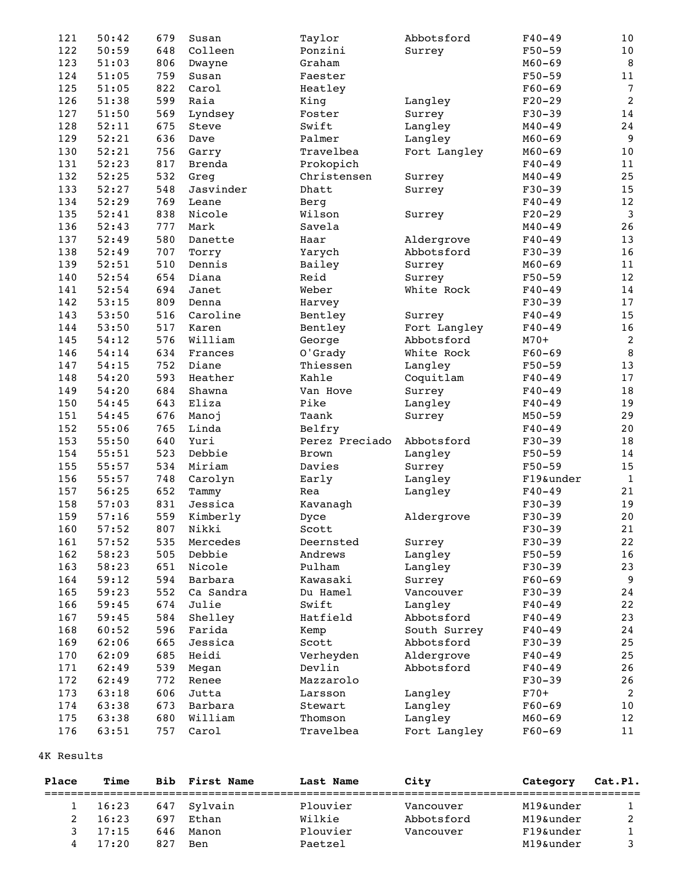| 121 | 50:42 | 679 | Susan     | Taylor         | Abbotsford               | $F40 - 49$ | 10             |
|-----|-------|-----|-----------|----------------|--------------------------|------------|----------------|
| 122 | 50:59 | 648 | Colleen   | Ponzini        | Surrey                   | $F50 - 59$ | 10             |
| 123 | 51:03 | 806 | Dwayne    | Graham         |                          | $M60 - 69$ | 8              |
| 124 | 51:05 | 759 | Susan     | Faester        |                          | $F50 - 59$ | $11\,$         |
| 125 | 51:05 | 822 | Carol     | Heatley        |                          | $F60 - 69$ | $\overline{7}$ |
| 126 | 51:38 | 599 | Raia      | King           | Langley                  | $F20-29$   | $\sqrt{2}$     |
| 127 | 51:50 | 569 | Lyndsey   | Foster         | Surrey                   | $F30 - 39$ | $1\,4$         |
| 128 | 52:11 | 675 | Steve     | Swift          | Langley                  | $M40 - 49$ | 24             |
| 129 | 52:21 | 636 | Dave      | Palmer         | Langley                  | $M60 - 69$ | 9              |
| 130 | 52:21 | 756 | Garry     | Travelbea      | Fort Langley             | $M60 - 69$ | 10             |
| 131 | 52:23 | 817 | Brenda    | Prokopich      |                          | $F40 - 49$ | 11             |
| 132 | 52:25 | 532 | Greg      | Christensen    | Surrey                   | $M40 - 49$ | 25             |
| 133 | 52:27 | 548 | Jasvinder | Dhatt          | Surrey                   | $F30-39$   | 15             |
| 134 | 52:29 | 769 | Leane     | Berg           |                          | $F40 - 49$ | 12             |
| 135 | 52:41 | 838 | Nicole    | Wilson         | Surrey                   | $F20-29$   | $\mathbf{3}$   |
| 136 | 52:43 | 777 | Mark      | Savela         |                          | $M40 - 49$ | 26             |
| 137 | 52:49 | 580 | Danette   | Haar           |                          | $F40 - 49$ | 13             |
| 138 | 52:49 | 707 |           | Yarych         | Aldergrove<br>Abbotsford | $F30-39$   | 16             |
|     |       |     | Torry     |                |                          | $M60 - 69$ |                |
| 139 | 52:51 | 510 | Dennis    | Bailey         | Surrey                   |            | 11             |
| 140 | 52:54 | 654 | Diana     | Reid           | Surrey                   | $F50 - 59$ | $12$           |
| 141 | 52:54 | 694 | Janet     | Weber          | White Rock               | $F40 - 49$ | 14             |
| 142 | 53:15 | 809 | Denna     | Harvey         |                          | $F30-39$   | 17             |
| 143 | 53:50 | 516 | Caroline  | Bentley        | Surrey                   | $F40 - 49$ | 15             |
| 144 | 53:50 | 517 | Karen     | Bentley        | Fort Langley             | $F40 - 49$ | $16\,$         |
| 145 | 54:12 | 576 | William   | George         | Abbotsford               | $M70+$     | $\overline{c}$ |
| 146 | 54:14 | 634 | Frances   | O'Grady        | White Rock               | $F60 - 69$ | $\, 8$         |
| 147 | 54:15 | 752 | Diane     | Thiessen       | Langley                  | $F50 - 59$ | 13             |
| 148 | 54:20 | 593 | Heather   | Kahle          | Coquitlam                | $F40 - 49$ | $17$           |
| 149 | 54:20 | 684 | Shawna    | Van Hove       | Surrey                   | $F40 - 49$ | 18             |
| 150 | 54:45 | 643 | Eliza     | Pike           | Langley                  | $F40 - 49$ | 19             |
| 151 | 54:45 | 676 | Manoj     | Taank          | Surrey                   | $M50 - 59$ | 29             |
| 152 | 55:06 | 765 | Linda     | Belfry         |                          | $F40 - 49$ | 20             |
| 153 | 55:50 | 640 | Yuri      | Perez Preciado | Abbotsford               | $F30-39$   | $1\,8$         |
| 154 | 55:51 | 523 | Debbie    | <b>Brown</b>   | Langley                  | $F50 - 59$ | 14             |
| 155 | 55:57 | 534 | Miriam    | Davies         | Surrey                   | $F50 - 59$ | 15             |
| 156 | 55:57 | 748 | Carolyn   | Early          | Langley                  | F19&under  | $\mathbf{1}$   |
| 157 | 56:25 | 652 | Tammy     | Rea            | Langley                  | $F40 - 49$ | 21             |
| 158 | 57:03 | 831 | Jessica   | Kavanagh       |                          | $F30-39$   | 19             |
| 159 | 57:16 | 559 | Kimberly  | Dyce           | Aldergrove               | $F30-39$   | 20             |
| 160 | 57:52 | 807 | Nikki     | Scott          |                          | $F30 - 39$ | 21             |
| 161 | 57:52 | 535 | Mercedes  | Deernsted      | Surrey                   | $F30-39$   | 22             |
| 162 | 58:23 | 505 | Debbie    | Andrews        | Langley                  | $F50 - 59$ | 16             |
| 163 | 58:23 | 651 | Nicole    | Pulham         | Langley                  | $F30-39$   | 23             |
| 164 | 59:12 | 594 | Barbara   | Kawasaki       | Surrey                   | $F60 - 69$ | $\overline{9}$ |
| 165 | 59:23 | 552 | Ca Sandra | Du Hamel       | Vancouver                | $F30-39$   | 24             |
| 166 | 59:45 | 674 | Julie     | Swift          | Langley                  | $F40 - 49$ | 22             |
| 167 | 59:45 | 584 | Shelley   | Hatfield       | Abbotsford               | $F40 - 49$ | 23             |
| 168 | 60:52 | 596 | Farida    | Kemp           | South Surrey             | $F40 - 49$ | 24             |
| 169 | 62:06 | 665 | Jessica   | Scott          | Abbotsford               | $F30-39$   | 25             |
| 170 | 62:09 | 685 | Heidi     | Verheyden      | Aldergrove               | $F40 - 49$ | 25             |
| 171 | 62:49 | 539 | Megan     | Devlin         | Abbotsford               | $F40 - 49$ | 26             |
| 172 | 62:49 | 772 | Renee     | Mazzarolo      |                          | $F30-39$   | 26             |
| 173 | 63:18 | 606 | Jutta     | Larsson        | Langley                  | $F70+$     | 2              |
| 174 | 63:38 | 673 | Barbara   | Stewart        | Langley                  | $F60 - 69$ | $10$           |
| 175 | 63:38 | 680 | William   | Thomson        | Langley                  | $M60 - 69$ | 12             |
|     |       |     |           |                |                          |            |                |
| 176 | 63:51 | 757 | Carol     | Travelbea      | Fort Langley             | $F60 - 69$ | $1\,1$         |

## 4K Results

| Place | Time  | <b>Bib</b> | <b>First Name</b> | Last Name | City       | Category  | Cat.Pl. |
|-------|-------|------------|-------------------|-----------|------------|-----------|---------|
|       | 16:23 | 647        | Svlvain           | Plouvier  | Vancouver  | M19&under |         |
|       | 16:23 | 697        | Ethan             | Wilkie    | Abbotsford | M19&under |         |
|       | 17:15 | 646        | Manon             | Plouvier  | Vancouver  | F19&under |         |
| 4     | 17:20 | 827        | Ben               | Paetzel   |            | M19&under |         |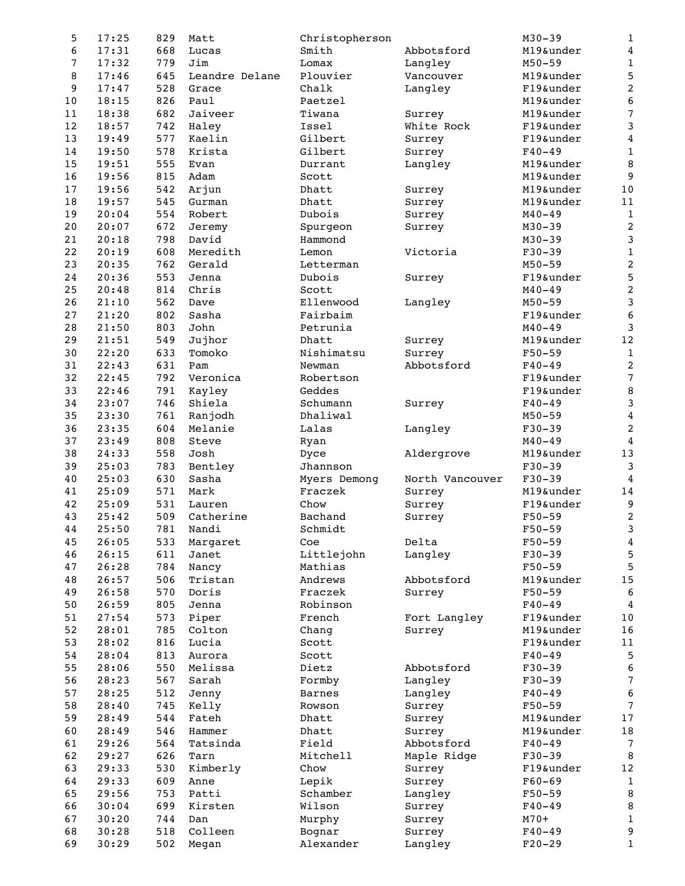| 5        | 17:25          | 829        | Matt           | Christopherson |                 | $M30 - 39$ | $\mathbf 1$         |
|----------|----------------|------------|----------------|----------------|-----------------|------------|---------------------|
| 6        | 17:31          | 668        | Lucas          | Smith          | Abbotsford      | M19&under  | $\pmb{4}$           |
| 7        | 17:32          | 779        | Jim            | Lomax          | Langley         | $M50 - 59$ | $\mathbf 1$         |
| 8        | 17:46          | 645        | Leandre Delane | Plouvier       | Vancouver       | M19&under  | 5                   |
| 9        | 17:47          | 528        | Grace          | Chalk          | Langley         | F19&under  | $\boldsymbol{2}$    |
| $10$     | 18:15          | 826        | Paul           | Paetzel        |                 | M19&under  | $\bf 6$             |
| 11       | 18:38          | 682        | Jaiveer        | Tiwana         | Surrey          | M19&under  | $\overline{7}$      |
| 12       | 18:57          | 742        | Haley          | Issel          | White Rock      | F19&under  | 3                   |
| 13       | 19:49          | 577        | Kaelin         | Gilbert        | Surrey          | F19&under  | 4                   |
| 14       | 19:50          | 578        | Krista         | Gilbert        | Surrey          | $F40 - 49$ | $\mathbf 1$         |
| 15       | 19:51          | 555        | Evan           | Durrant        | Langley         | M19&under  | 8                   |
| 16       | 19:56          | 815        | Adam           | Scott          |                 | M19&under  | 9                   |
| 17       | 19:56          | 542        | Arjun          | Dhatt          | Surrey          | M19&under  | $10$                |
| 18       | 19:57          | 545        | Gurman         | Dhatt          | Surrey          | M19&under  | $11\,$              |
| 19       | 20:04          | 554        | Robert         | Dubois         | Surrey          | $M40 - 49$ | $\,1$               |
| $20$     | 20:07          | 672        | Jeremy         | Spurgeon       | Surrey          | $M30 - 39$ | $\overline{c}$      |
| 21       | 20:18          | 798        | David          | Hammond        |                 | $M30 - 39$ | $\mathsf 3$         |
| 22       | 20:19          | 608        | Meredith       | Lemon          | Victoria        | $F30-39$   | $\,1$               |
| 23       | 20:35          | 762        | Gerald         | Letterman      |                 | $M50 - 59$ | $\overline{c}$      |
| 24       | 20:36          | 553        | Jenna          | Dubois         | Surrey          | F19&under  | 5                   |
| 25       | 20:48          | 814        | Chris          | Scott          |                 | $M40 - 49$ | $\boldsymbol{2}$    |
| 26       | 21:10          | 562        | Dave           | Ellenwood      | Langley         | $M50 - 59$ | 3                   |
| $27$     | 21:20          | 802        | Sasha          | Fairbaim       |                 | F19&under  | $\boldsymbol{6}$    |
| $2\,8$   | 21:50          | 803        | John           | Petrunia       |                 | $M40 - 49$ | 3                   |
| 29       | 21:51          | 549        | Jujhor         | Dhatt          | Surrey          | M19&under  | $12\,$              |
| 30       | 22:20          | 633        | Tomoko         | Nishimatsu     | Surrey          | $F50 - 59$ | $\mathbf{1}$        |
| 31       | 22:43          | 631        | Pam            | Newman         | Abbotsford      | $F40 - 49$ | $\sqrt{2}$          |
| 32       | 22:45          | 792        | Veronica       | Robertson      |                 | F19&under  | $\overline{7}$      |
| 33       | 22:46          | 791        | Kayley         | Geddes         |                 | F19&under  | 8                   |
| 34       | 23:07          | 746        | Shiela         | Schumann       | Surrey          | $F40 - 49$ | 3                   |
| 35       | 23:30          | 761        | Ranjodh        | Dhaliwal       |                 | $M50 - 59$ | $\bf 4$             |
| 36       | 23:35          | 604        | Melanie        | Lalas          | Langley         | $F30-39$   | $\overline{c}$      |
| 37       | 23:49          | 808        | Steve          | Ryan           |                 | $M40 - 49$ | $\overline{4}$      |
| 38       | 24:33          | 558        | Josh           | Dyce           | Aldergrove      | M19&under  | 13                  |
| 39       | 25:03          | 783        | Bentley        | Jhannson       |                 | $F30-39$   | $\mathbf{3}$        |
| 40       | 25:03          | 630        | Sasha          | Myers Demong   | North Vancouver | $F30-39$   | 4                   |
| 41       | 25:09          | 571        | Mark           | Fraczek        | Surrey          | M19&under  | 14                  |
| 42       | 25:09          | 531        | Lauren         | Chow           | Surrey          | F19&under  | 9                   |
| 43       | 25:42          | 509        | Catherine      | Bachand        | Surrey          | $F50 - 59$ | $\boldsymbol{2}$    |
| 44       | 25:50          | 781        | Nandi          | Schmidt        |                 | $F50 - 59$ | 3                   |
| 45       | 26:05          | 533        | Margaret       | Coe            | Delta           | $F50 - 59$ | $\bf 4$             |
| 46       | 26:15          | 611        | Janet          | Littlejohn     | Langley         | $F30-39$   | $\mathbf 5$         |
| 47       | 26:28          | 784        | Nancy          | Mathias        |                 | $F50 - 59$ | 5                   |
| 48       | 26:57          |            |                | Andrews        |                 | M19&under  | $15\,$              |
| 49       |                | 506        | Tristan        | Fraczek        | Abbotsford      | $F50 - 59$ |                     |
| 50       | 26:58<br>26:59 | 570<br>805 | Doris<br>Jenna | Robinson       | Surrey          | $F40 - 49$ | 6<br>$\overline{4}$ |
| 51       | 27:54          | 573        | Piper          | French         | Fort Langley    | F19&under  | $10$                |
| 52       | 28:01          | 785        | Colton         | Chang          | Surrey          | M19&under  | 16                  |
| 53       | 28:02          | 816        | Lucia          | Scott          |                 | F19&under  | 11                  |
| 54       | 28:04          | 813        | Aurora         | Scott          |                 | $F40 - 49$ | 5                   |
| 55       | 28:06          | 550        | Melissa        | Dietz          | Abbotsford      | $F30-39$   |                     |
| 56       |                |            |                |                |                 |            | 6<br>$\sqrt{ }$     |
| 57       | 28:23<br>28:25 | 567        | Sarah          | Formby         | Langley         | $F30-39$   |                     |
|          |                | 512        | Jenny          | <b>Barnes</b>  | Langley         | $F40 - 49$ | 6<br>$\overline{7}$ |
| 58       | 28:40          | 745        | Kelly          | Rowson         | Surrey          | $F50 - 59$ |                     |
| 59       | 28:49          | 544        | Fateh          | Dhatt          | Surrey          | M19&under  | $17\,$              |
| 60       | 28:49          | 546        | Hammer         | Dhatt          | Surrey          | M19&under  | $1\,8$              |
| 61       | 29:26          | 564        | Tatsinda       | Field          | Abbotsford      | $F40 - 49$ | $7\phantom{.0}$     |
| 62       | 29:27          | 626        | Tarn           | Mitchell       | Maple Ridge     | $F30-39$   | 8                   |
| 63       | 29:33          | 530        | Kimberly       | Chow           | Surrey          | F19&under  | $12\,$              |
| 64       | 29:33          | 609        | Anne           | Lepik          | Surrey          | $F60 - 69$ | $\mathbf{1}$        |
| 65       | 29:56          | 753        | Patti          | Schamber       | Langley         | $F50 - 59$ | $\, 8$              |
| 66       | 30:04          | 699        | Kirsten        | Wilson         | Surrey          | $F40 - 49$ | $\, 8$              |
| 67       | 30:20          | 744        | Dan            | Murphy         | Surrey          | $M70+$     | $\mathbf 1$         |
| 68<br>69 | 30:28<br>30:29 | 518<br>502 | Colleen        | Bognar         | Surrey          | $F40 - 49$ | 9<br>$\mathbf 1$    |
|          |                |            | Megan          | Alexander      | Langley         | $F20-29$   |                     |